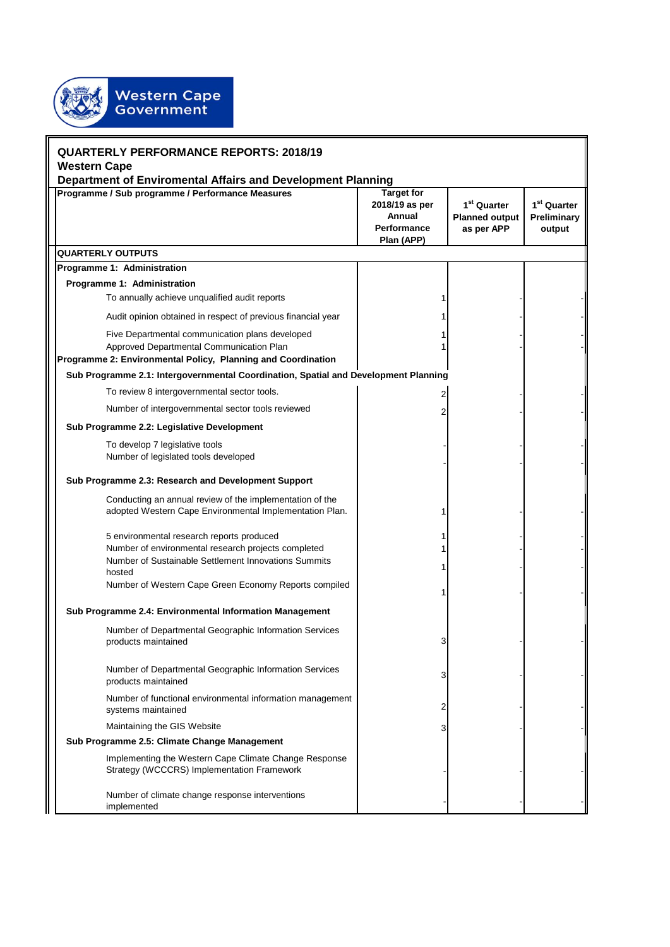

| <b>QUARTERLY PERFORMANCE REPORTS: 2018/19</b><br><b>Western Cape</b>                                                                                                                                                        |   |  |  |
|-----------------------------------------------------------------------------------------------------------------------------------------------------------------------------------------------------------------------------|---|--|--|
|                                                                                                                                                                                                                             |   |  |  |
| <b>QUARTERLY OUTPUTS</b>                                                                                                                                                                                                    |   |  |  |
| Programme 1: Administration                                                                                                                                                                                                 |   |  |  |
| Programme 1: Administration                                                                                                                                                                                                 |   |  |  |
| To annually achieve unqualified audit reports                                                                                                                                                                               |   |  |  |
| Audit opinion obtained in respect of previous financial year                                                                                                                                                                |   |  |  |
| Five Departmental communication plans developed<br>Approved Departmental Communication Plan<br>Programme 2: Environmental Policy, Planning and Coordination                                                                 |   |  |  |
| Sub Programme 2.1: Intergovernmental Coordination, Spatial and Development Planning                                                                                                                                         |   |  |  |
| To review 8 intergovernmental sector tools.                                                                                                                                                                                 |   |  |  |
| Number of intergovernmental sector tools reviewed                                                                                                                                                                           |   |  |  |
| Sub Programme 2.2: Legislative Development                                                                                                                                                                                  |   |  |  |
| To develop 7 legislative tools<br>Number of legislated tools developed                                                                                                                                                      |   |  |  |
| Sub Programme 2.3: Research and Development Support                                                                                                                                                                         |   |  |  |
| Conducting an annual review of the implementation of the<br>adopted Western Cape Environmental Implementation Plan.                                                                                                         |   |  |  |
| 5 environmental research reports produced<br>Number of environmental research projects completed<br>Number of Sustainable Settlement Innovations Summits<br>hosted<br>Number of Western Cape Green Economy Reports compiled |   |  |  |
|                                                                                                                                                                                                                             |   |  |  |
| Sub Programme 2.4: Environmental Information Management<br>Number of Departmental Geographic Information Services<br>products maintained                                                                                    | 3 |  |  |
| Number of Departmental Geographic Information Services<br>products maintained                                                                                                                                               | 3 |  |  |
| Number of functional environmental information management<br>systems maintained                                                                                                                                             | 2 |  |  |
| Maintaining the GIS Website                                                                                                                                                                                                 | 3 |  |  |
| Sub Programme 2.5: Climate Change Management                                                                                                                                                                                |   |  |  |
| Implementing the Western Cape Climate Change Response<br>Strategy (WCCCRS) Implementation Framework                                                                                                                         |   |  |  |
| Number of climate change response interventions<br>implemented                                                                                                                                                              |   |  |  |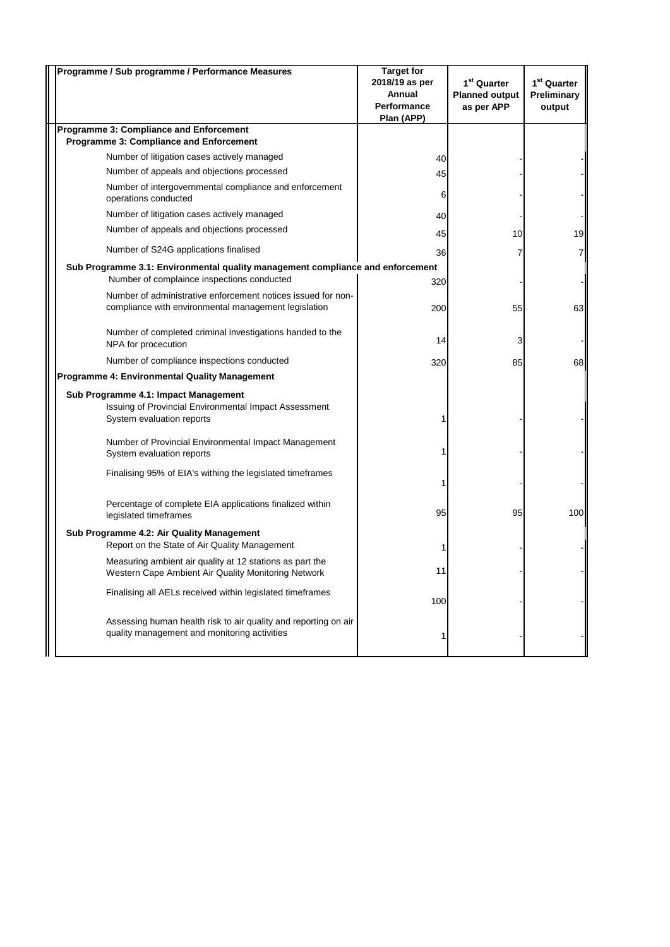| Programme / Sub programme / Performance Measures                                                                           | <b>Target for</b><br>2018/19 as per<br>Annual<br><b>Performance</b><br>Plan (APP) | 1 <sup>st</sup> Quarter<br><b>Planned output</b><br>as per APP | 1 <sup>st</sup> Quarter<br>Preliminary<br>output |
|----------------------------------------------------------------------------------------------------------------------------|-----------------------------------------------------------------------------------|----------------------------------------------------------------|--------------------------------------------------|
| <b>Programme 3: Compliance and Enforcement</b><br><b>Programme 3: Compliance and Enforcement</b>                           |                                                                                   |                                                                |                                                  |
| Number of litigation cases actively managed                                                                                | 40                                                                                |                                                                |                                                  |
| Number of appeals and objections processed                                                                                 | 45                                                                                |                                                                |                                                  |
| Number of intergovernmental compliance and enforcement<br>operations conducted                                             | 6                                                                                 |                                                                |                                                  |
| Number of litigation cases actively managed                                                                                | 40                                                                                |                                                                |                                                  |
| Number of appeals and objections processed                                                                                 | 45                                                                                | 10                                                             | 19                                               |
| Number of S24G applications finalised                                                                                      | 36                                                                                |                                                                |                                                  |
| Sub Programme 3.1: Environmental quality management compliance and enforcement                                             |                                                                                   |                                                                |                                                  |
| Number of complaince inspections conducted                                                                                 | 320                                                                               |                                                                |                                                  |
| Number of administrative enforcement notices issued for non-<br>compliance with environmental management legislation       | 200                                                                               | 55                                                             | 63                                               |
| Number of completed criminal investigations handed to the<br>NPA for procecution                                           | 14                                                                                |                                                                |                                                  |
| Number of compliance inspections conducted                                                                                 | 320                                                                               | 85                                                             | 68                                               |
| Programme 4: Environmental Quality Management                                                                              |                                                                                   |                                                                |                                                  |
| Sub Programme 4.1: Impact Management<br>Issuing of Provincial Environmental Impact Assessment<br>System evaluation reports |                                                                                   |                                                                |                                                  |
| Number of Provincial Environmental Impact Management<br>System evaluation reports                                          |                                                                                   |                                                                |                                                  |
| Finalising 95% of EIA's withing the legislated timeframes                                                                  |                                                                                   |                                                                |                                                  |
| Percentage of complete EIA applications finalized within<br>legislated timeframes                                          | 95                                                                                | 95                                                             | 100                                              |
| Sub Programme 4.2: Air Quality Management<br>Report on the State of Air Quality Management                                 |                                                                                   |                                                                |                                                  |
| Measuring ambient air quality at 12 stations as part the<br>Western Cape Ambient Air Quality Monitoring Network            | 11                                                                                |                                                                |                                                  |
| Finalising all AELs received within legislated timeframes                                                                  | 100                                                                               |                                                                |                                                  |
| Assessing human health risk to air quality and reporting on air<br>quality management and monitoring activities            |                                                                                   |                                                                |                                                  |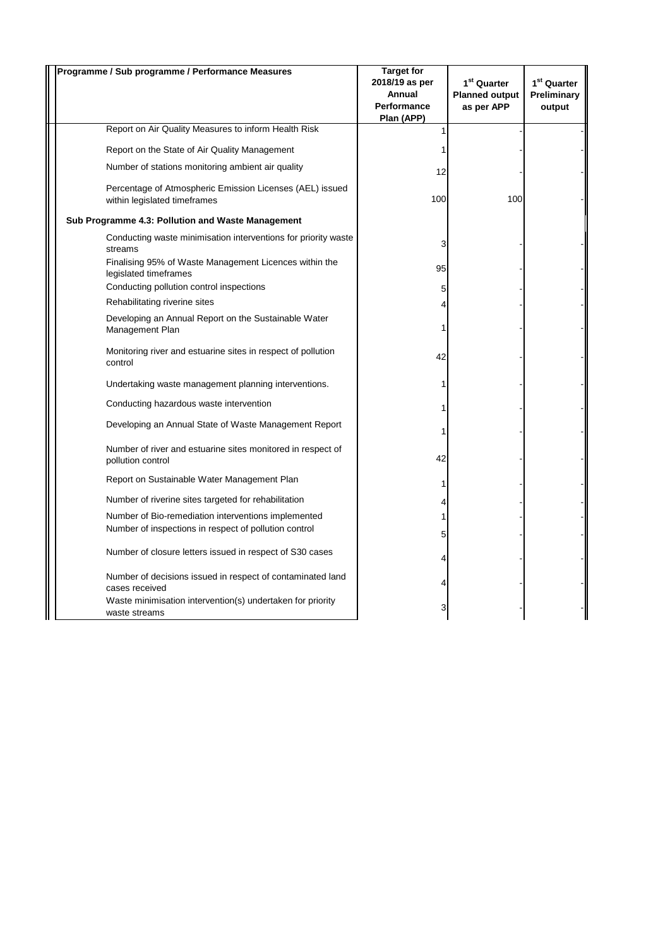| Programme / Sub programme / Performance Measures                                                             | <b>Target for</b><br>2018/19 as per<br>Annual<br><b>Performance</b><br>Plan (APP) | 1 <sup>st</sup> Quarter<br><b>Planned output</b><br>as per APP | 1 <sup>st</sup> Quarter<br>Preliminary<br>output |
|--------------------------------------------------------------------------------------------------------------|-----------------------------------------------------------------------------------|----------------------------------------------------------------|--------------------------------------------------|
| Report on Air Quality Measures to inform Health Risk                                                         | 1                                                                                 |                                                                |                                                  |
| Report on the State of Air Quality Management                                                                |                                                                                   |                                                                |                                                  |
| Number of stations monitoring ambient air quality                                                            | 12                                                                                |                                                                |                                                  |
| Percentage of Atmospheric Emission Licenses (AEL) issued<br>within legislated timeframes                     | 100                                                                               | 100                                                            |                                                  |
| Sub Programme 4.3: Pollution and Waste Management                                                            |                                                                                   |                                                                |                                                  |
| Conducting waste minimisation interventions for priority waste<br>streams                                    | 3                                                                                 |                                                                |                                                  |
| Finalising 95% of Waste Management Licences within the<br>legislated timeframes                              | 95                                                                                |                                                                |                                                  |
| Conducting pollution control inspections                                                                     | 5                                                                                 |                                                                |                                                  |
| Rehabilitating riverine sites                                                                                |                                                                                   |                                                                |                                                  |
| Developing an Annual Report on the Sustainable Water<br>Management Plan                                      | 1                                                                                 |                                                                |                                                  |
| Monitoring river and estuarine sites in respect of pollution<br>control                                      | 42                                                                                |                                                                |                                                  |
| Undertaking waste management planning interventions.                                                         |                                                                                   |                                                                |                                                  |
| Conducting hazardous waste intervention                                                                      |                                                                                   |                                                                |                                                  |
| Developing an Annual State of Waste Management Report                                                        |                                                                                   |                                                                |                                                  |
| Number of river and estuarine sites monitored in respect of<br>pollution control                             | 42                                                                                |                                                                |                                                  |
| Report on Sustainable Water Management Plan                                                                  | 1                                                                                 |                                                                |                                                  |
| Number of riverine sites targeted for rehabilitation                                                         | 4                                                                                 |                                                                |                                                  |
| Number of Bio-remediation interventions implemented<br>Number of inspections in respect of pollution control |                                                                                   |                                                                |                                                  |
| Number of closure letters issued in respect of S30 cases                                                     | 5<br>4                                                                            |                                                                |                                                  |
| Number of decisions issued in respect of contaminated land<br>cases received                                 |                                                                                   |                                                                |                                                  |
| Waste minimisation intervention(s) undertaken for priority<br>waste streams                                  | 3                                                                                 |                                                                |                                                  |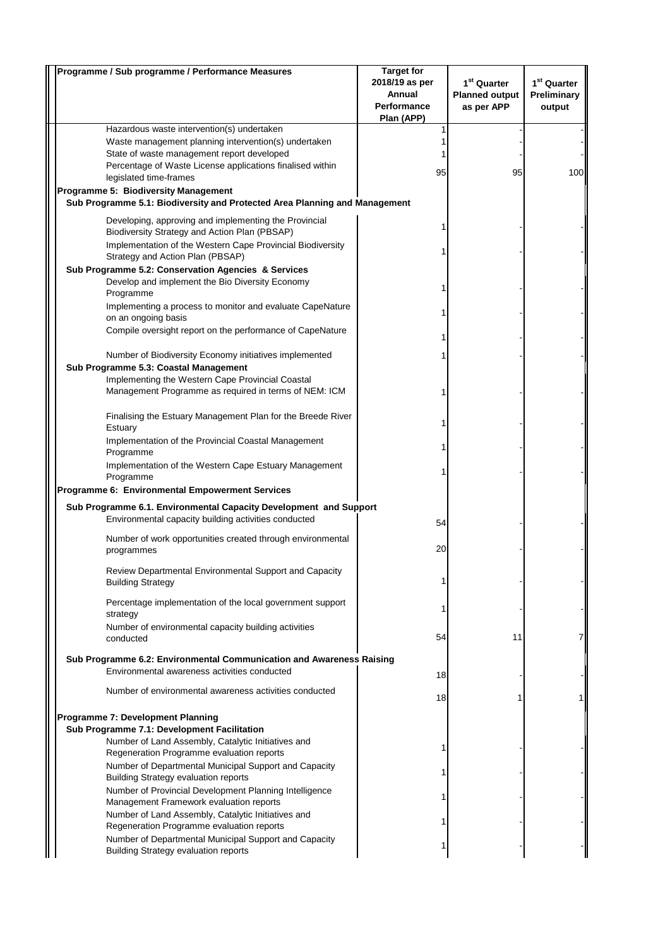| Programme / Sub programme / Performance Measures                                                                     | <b>Target for</b>  |                         |                         |
|----------------------------------------------------------------------------------------------------------------------|--------------------|-------------------------|-------------------------|
|                                                                                                                      | 2018/19 as per     | 1 <sup>st</sup> Quarter | 1 <sup>st</sup> Quarter |
|                                                                                                                      | Annual             | <b>Planned output</b>   | Preliminary             |
|                                                                                                                      | <b>Performance</b> | as per APP              | output                  |
|                                                                                                                      | Plan (APP)         |                         |                         |
| Hazardous waste intervention(s) undertaken                                                                           |                    |                         |                         |
| Waste management planning intervention(s) undertaken<br>State of waste management report developed                   |                    |                         |                         |
| Percentage of Waste License applications finalised within                                                            |                    |                         |                         |
| legislated time-frames                                                                                               | 95                 | 95                      | 100                     |
| Programme 5: Biodiversity Management                                                                                 |                    |                         |                         |
| Sub Programme 5.1: Biodiversity and Protected Area Planning and Management                                           |                    |                         |                         |
|                                                                                                                      |                    |                         |                         |
| Developing, approving and implementing the Provincial<br>Biodiversity Strategy and Action Plan (PBSAP)               |                    |                         |                         |
| Implementation of the Western Cape Provincial Biodiversity                                                           |                    |                         |                         |
| Strategy and Action Plan (PBSAP)                                                                                     |                    |                         |                         |
| Sub Programme 5.2: Conservation Agencies & Services                                                                  |                    |                         |                         |
| Develop and implement the Bio Diversity Economy                                                                      |                    |                         |                         |
| Programme                                                                                                            |                    |                         |                         |
| Implementing a process to monitor and evaluate CapeNature                                                            |                    |                         |                         |
| on an ongoing basis                                                                                                  |                    |                         |                         |
| Compile oversight report on the performance of CapeNature                                                            |                    |                         |                         |
|                                                                                                                      |                    |                         |                         |
| Number of Biodiversity Economy initiatives implemented                                                               |                    |                         |                         |
| Sub Programme 5.3: Coastal Management                                                                                |                    |                         |                         |
| Implementing the Western Cape Provincial Coastal                                                                     |                    |                         |                         |
| Management Programme as required in terms of NEM: ICM                                                                |                    |                         |                         |
|                                                                                                                      |                    |                         |                         |
| Finalising the Estuary Management Plan for the Breede River                                                          |                    |                         |                         |
| Estuary                                                                                                              |                    |                         |                         |
| Implementation of the Provincial Coastal Management                                                                  |                    |                         |                         |
| Programme                                                                                                            |                    |                         |                         |
| Implementation of the Western Cape Estuary Management                                                                |                    |                         |                         |
| Programme<br>Programme 6: Environmental Empowerment Services                                                         |                    |                         |                         |
|                                                                                                                      |                    |                         |                         |
| Sub Programme 6.1. Environmental Capacity Development and Support                                                    |                    |                         |                         |
| Environmental capacity building activities conducted                                                                 | 54                 |                         |                         |
| Number of work opportunities created through environmental                                                           |                    |                         |                         |
| programmes                                                                                                           | 20                 |                         |                         |
|                                                                                                                      |                    |                         |                         |
| Review Departmental Environmental Support and Capacity                                                               |                    |                         |                         |
| <b>Building Strategy</b>                                                                                             |                    |                         |                         |
| Percentage implementation of the local government support                                                            |                    |                         |                         |
| strategy                                                                                                             |                    |                         |                         |
| Number of environmental capacity building activities                                                                 |                    |                         |                         |
| conducted                                                                                                            | 54                 | 11                      |                         |
|                                                                                                                      |                    |                         |                         |
| Sub Programme 6.2: Environmental Communication and Awareness Raising<br>Environmental awareness activities conducted |                    |                         |                         |
|                                                                                                                      | 18                 |                         |                         |
| Number of environmental awareness activities conducted                                                               | 18                 |                         |                         |
|                                                                                                                      |                    |                         |                         |
| Programme 7: Development Planning                                                                                    |                    |                         |                         |
| Sub Programme 7.1: Development Facilitation                                                                          |                    |                         |                         |
| Number of Land Assembly, Catalytic Initiatives and                                                                   |                    |                         |                         |
| Regeneration Programme evaluation reports                                                                            |                    |                         |                         |
| Number of Departmental Municipal Support and Capacity                                                                |                    |                         |                         |
| <b>Building Strategy evaluation reports</b>                                                                          |                    |                         |                         |
| Number of Provincial Development Planning Intelligence                                                               |                    |                         |                         |
| Management Framework evaluation reports                                                                              |                    |                         |                         |
| Number of Land Assembly, Catalytic Initiatives and<br>Regeneration Programme evaluation reports                      |                    |                         |                         |
| Number of Departmental Municipal Support and Capacity                                                                |                    |                         |                         |
| <b>Building Strategy evaluation reports</b>                                                                          |                    |                         |                         |